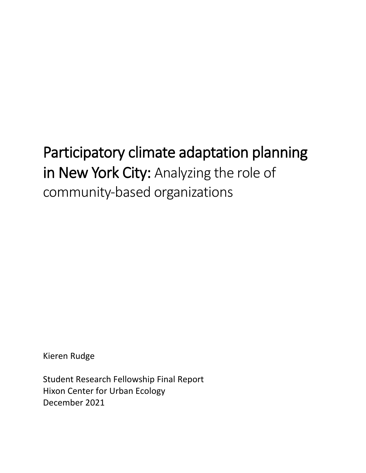# Participatory climate adaptation planning in New York City: Analyzing the role of community-based organizations

Kieren Rudge

Student Research Fellowship Final Report Hixon Center for Urban Ecology December 2021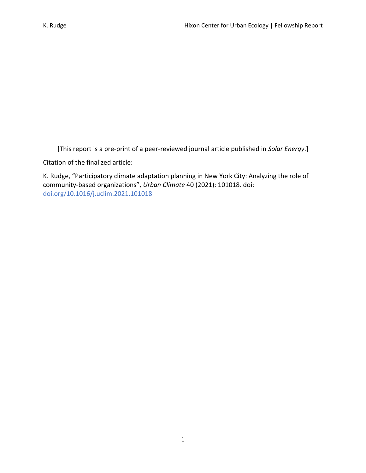**[**This report is a pre-print of a peer-reviewed journal article published in *Solar Energy*.]

Citation of the finalized article:

K. Rudge, "Participatory climate adaptation planning in New York City: Analyzing the role of community-based organizations", *Urban Climate* 40 (2021): 101018. doi: [doi.org/10.1016/j.uclim.2021.101018](https://doi.org/10.1016/j.uclim.2021.101018)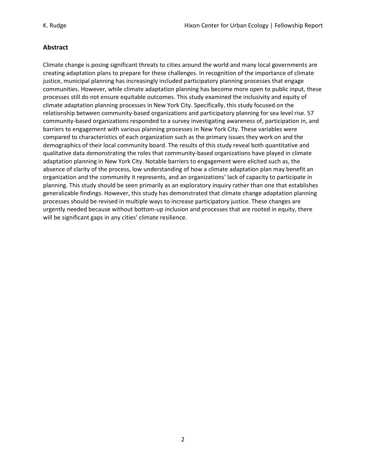# **Abstract**

Climate change is posing significant threats to cities around the world and many local governments are creating adaptation plans to prepare for these challenges. In recognition of the importance of climate justice, municipal planning has increasingly included participatory planning processes that engage communities. However, while climate adaptation planning has become more open to public input, these processes still do not ensure equitable outcomes. This study examined the inclusivity and equity of climate adaptation planning processes in New York City. Specifically, this study focused on the relationship between community-based organizations and participatory planning for sea level rise. 57 community-based organizations responded to a survey investigating awareness of, participation in, and barriers to engagement with various planning processes in New York City. These variables were compared to characteristics of each organization such as the primary issues they work on and the demographics of their local community board. The results of this study reveal both quantitative and qualitative data demonstrating the roles that community-based organizations have played in climate adaptation planning in New York City. Notable barriers to engagement were elicited such as, the absence of clarity of the process, low understanding of how a climate adaptation plan may benefit an organization and the community it represents, and an organizations' lack of capacity to participate in planning. This study should be seen primarily as an exploratory inquiry rather than one that establishes generalizable findings. However, this study has demonstrated that climate change adaptation planning processes should be revised in multiple ways to increase participatory justice. These changes are urgently needed because without bottom-up inclusion and processes that are rooted in equity, there will be significant gaps in any cities' climate resilience.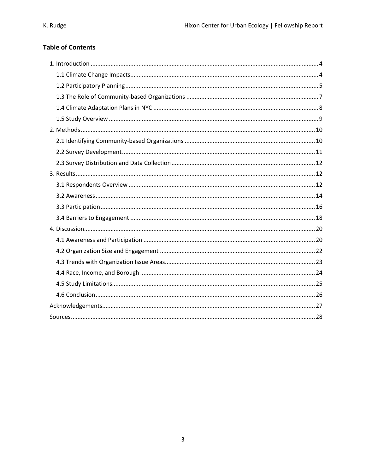# **Table of Contents**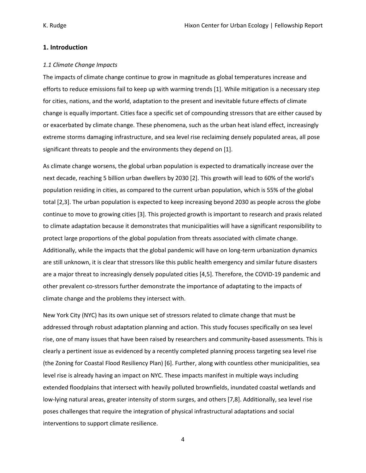#### **1. Introduction**

#### *1.1 Climate Change Impacts*

The impacts of climate change continue to grow in magnitude as global temperatures increase and efforts to reduce emissions fail to keep up with warming trends [1]. While mitigation is a necessary step for cities, nations, and the world, adaptation to the present and inevitable future effects of climate change is equally important. Cities face a specific set of compounding stressors that are either caused by or exacerbated by climate change. These phenomena, such as the urban heat island effect, increasingly extreme storms damaging infrastructure, and sea level rise reclaiming densely populated areas, all pose significant threats to people and the environments they depend on [1].

As climate change worsens, the global urban population is expected to dramatically increase over the next decade, reaching 5 billion urban dwellers by 2030 [2]. This growth will lead to 60% of the world's population residing in cities, as compared to the current urban population, which is 55% of the global total [2,3]. The urban population is expected to keep increasing beyond 2030 as people across the globe continue to move to growing cities [3]. This projected growth is important to research and praxis related to climate adaptation because it demonstrates that municipalities will have a significant responsibility to protect large proportions of the global population from threats associated with climate change. Additionally, while the impacts that the global pandemic will have on long-term urbanization dynamics are still unknown, it is clear that stressors like this public health emergency and similar future disasters are a major threat to increasingly densely populated cities [4,5]. Therefore, the COVID-19 pandemic and other prevalent co-stressors further demonstrate the importance of adaptating to the impacts of climate change and the problems they intersect with.

New York City (NYC) has its own unique set of stressors related to climate change that must be addressed through robust adaptation planning and action. This study focuses specifically on sea level rise, one of many issues that have been raised by researchers and community-based assessments. This is clearly a pertinent issue as evidenced by a recently completed planning process targeting sea level rise (the Zoning for Coastal Flood Resiliency Plan) [6]. Further, along with countless other municipalities, sea level rise is already having an impact on NYC. These impacts manifest in multiple ways including extended floodplains that intersect with heavily polluted brownfields, inundated coastal wetlands and low-lying natural areas, greater intensity of storm surges, and others [7,8]. Additionally, sea level rise poses challenges that require the integration of physical infrastructural adaptations and social interventions to support climate resilience.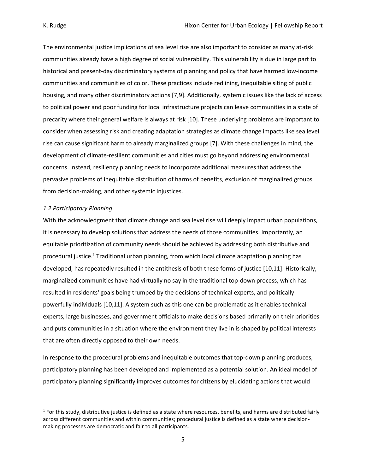The environmental justice implications of sea level rise are also important to consider as many at-risk communities already have a high degree of social vulnerability. This vulnerability is due in large part to historical and present-day discriminatory systems of planning and policy that have harmed low-income communities and communities of color. These practices include redlining, inequitable siting of public housing, and many other discriminatory actions [7,9]. Additionally, systemic issues like the lack of access to political power and poor funding for local infrastructure projects can leave communities in a state of precarity where their general welfare is always at risk [10]. These underlying problems are important to consider when assessing risk and creating adaptation strategies as climate change impacts like sea level rise can cause significant harm to already marginalized groups [7]. With these challenges in mind, the development of climate-resilient communities and cities must go beyond addressing environmental concerns. Instead, resiliency planning needs to incorporate additional measures that address the pervasive problems of inequitable distribution of harms of benefits, exclusion of marginalized groups from decision-making, and other systemic injustices.

#### *1.2 Participatory Planning*

With the acknowledgment that climate change and sea level rise will deeply impact urban populations, it is necessary to develop solutions that address the needs of those communities. Importantly, an equitable prioritization of community needs should be achieved by addressing both distributive and procedural justice.<sup>1</sup> Traditional urban planning, from which local climate adaptation planning has developed, has repeatedly resulted in the antithesis of both these forms of justice [10,11]. Historically, marginalized communities have had virtually no say in the traditional top-down process, which has resulted in residents' goals being trumped by the decisions of technical experts, and politically powerfully individuals [10,11]. A system such as this one can be problematic as it enables technical experts, large businesses, and government officials to make decisions based primarily on their priorities and puts communities in a situation where the environment they live in is shaped by political interests that are often directly opposed to their own needs.

In response to the procedural problems and inequitable outcomes that top-down planning produces, participatory planning has been developed and implemented as a potential solution. An ideal model of participatory planning significantly improves outcomes for citizens by elucidating actions that would

<sup>&</sup>lt;sup>1</sup> For this study, distributive justice is defined as a state where resources, benefits, and harms are distributed fairly across different communities and within communities; procedural justice is defined as a state where decisionmaking processes are democratic and fair to all participants.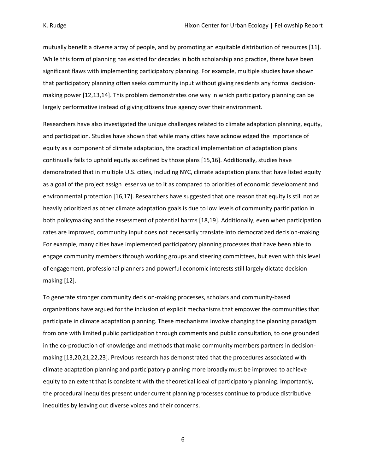mutually benefit a diverse array of people, and by promoting an equitable distribution of resources [11]. While this form of planning has existed for decades in both scholarship and practice, there have been significant flaws with implementing participatory planning. For example, multiple studies have shown that participatory planning often seeks community input without giving residents any formal decisionmaking power [12,13,14]. This problem demonstrates one way in which participatory planning can be largely performative instead of giving citizens true agency over their environment.

Researchers have also investigated the unique challenges related to climate adaptation planning, equity, and participation. Studies have shown that while many cities have acknowledged the importance of equity as a component of climate adaptation, the practical implementation of adaptation plans continually fails to uphold equity as defined by those plans [15,16]. Additionally, studies have demonstrated that in multiple U.S. cities, including NYC, climate adaptation plans that have listed equity as a goal of the project assign lesser value to it as compared to priorities of economic development and environmental protection [16,17]. Researchers have suggested that one reason that equity is still not as heavily prioritized as other climate adaptation goals is due to low levels of community participation in both policymaking and the assessment of potential harms [18,19]. Additionally, even when participation rates are improved, community input does not necessarily translate into democratized decision-making. For example, many cities have implemented participatory planning processes that have been able to engage community members through working groups and steering committees, but even with this level of engagement, professional planners and powerful economic interests still largely dictate decisionmaking [12].

To generate stronger community decision-making processes, scholars and community-based organizations have argued for the inclusion of explicit mechanisms that empower the communities that participate in climate adaptation planning. These mechanisms involve changing the planning paradigm from one with limited public participation through comments and public consultation, to one grounded in the co-production of knowledge and methods that make community members partners in decisionmaking [13,20,21,22,23]. Previous research has demonstrated that the procedures associated with climate adaptation planning and participatory planning more broadly must be improved to achieve equity to an extent that is consistent with the theoretical ideal of participatory planning. Importantly, the procedural inequities present under current planning processes continue to produce distributive inequities by leaving out diverse voices and their concerns.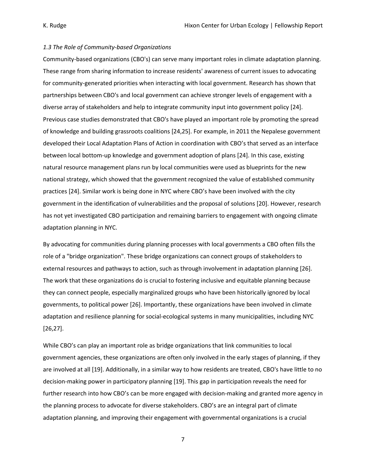#### *1.3 The Role of Community-based Organizations*

Community-based organizations (CBO's) can serve many important roles in climate adaptation planning. These range from sharing information to increase residents' awareness of current issues to advocating for community-generated priorities when interacting with local government. Research has shown that partnerships between CBO's and local government can achieve stronger levels of engagement with a diverse array of stakeholders and help to integrate community input into government policy [24]. Previous case studies demonstrated that CBO's have played an important role by promoting the spread of knowledge and building grassroots coalitions [24,25]. For example, in 2011 the Nepalese government developed their Local Adaptation Plans of Action in coordination with CBO's that served as an interface between local bottom-up knowledge and government adoption of plans [24]. In this case, existing natural resource management plans run by local communities were used as blueprints for the new national strategy, which showed that the government recognized the value of established community practices [24]. Similar work is being done in NYC where CBO's have been involved with the city government in the identification of vulnerabilities and the proposal of solutions [20]. However, research has not yet investigated CBO participation and remaining barriers to engagement with ongoing climate adaptation planning in NYC.

By advocating for communities during planning processes with local governments a CBO often fills the role of a "bridge organization". These bridge organizations can connect groups of stakeholders to external resources and pathways to action, such as through involvement in adaptation planning [26]. The work that these organizations do is crucial to fostering inclusive and equitable planning because they can connect people, especially marginalized groups who have been historically ignored by local governments, to political power [26]. Importantly, these organizations have been involved in climate adaptation and resilience planning for social-ecological systems in many municipalities, including NYC [26,27].

While CBO's can play an important role as bridge organizations that link communities to local government agencies, these organizations are often only involved in the early stages of planning, if they are involved at all [19]. Additionally, in a similar way to how residents are treated, CBO's have little to no decision-making power in participatory planning [19]. This gap in participation reveals the need for further research into how CBO's can be more engaged with decision-making and granted more agency in the planning process to advocate for diverse stakeholders. CBO's are an integral part of climate adaptation planning, and improving their engagement with governmental organizations is a crucial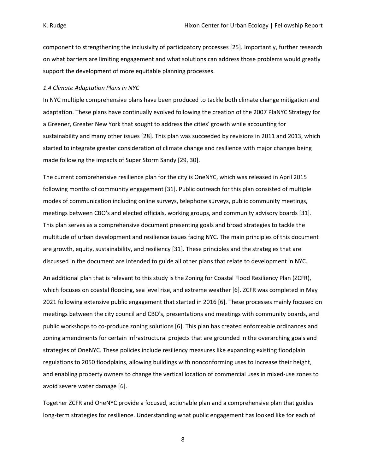component to strengthening the inclusivity of participatory processes [25]. Importantly, further research on what barriers are limiting engagement and what solutions can address those problems would greatly support the development of more equitable planning processes.

#### *1.4 Climate Adaptation Plans in NYC*

In NYC multiple comprehensive plans have been produced to tackle both climate change mitigation and adaptation. These plans have continually evolved following the creation of the 2007 PlaNYC Strategy for a Greener, Greater New York that sought to address the cities' growth while accounting for sustainability and many other issues [28]. This plan was succeeded by revisions in 2011 and 2013, which started to integrate greater consideration of climate change and resilience with major changes being made following the impacts of Super Storm Sandy [29, 30].

The current comprehensive resilience plan for the city is OneNYC, which was released in April 2015 following months of community engagement [31]. Public outreach for this plan consisted of multiple modes of communication including online surveys, telephone surveys, public community meetings, meetings between CBO's and elected officials, working groups, and community advisory boards [31]. This plan serves as a comprehensive document presenting goals and broad strategies to tackle the multitude of urban development and resilience issues facing NYC. The main principles of this document are growth, equity, sustainability, and resiliency [31]. These principles and the strategies that are discussed in the document are intended to guide all other plans that relate to development in NYC.

An additional plan that is relevant to this study is the Zoning for Coastal Flood Resiliency Plan (ZCFR), which focuses on coastal flooding, sea level rise, and extreme weather [6]. ZCFR was completed in May 2021 following extensive public engagement that started in 2016 [6]. These processes mainly focused on meetings between the city council and CBO's, presentations and meetings with community boards, and public workshops to co-produce zoning solutions [6]. This plan has created enforceable ordinances and zoning amendments for certain infrastructural projects that are grounded in the overarching goals and strategies of OneNYC. These policies include resiliency measures like expanding existing floodplain regulations to 2050 floodplains, allowing buildings with nonconforming uses to increase their height, and enabling property owners to change the vertical location of commercial uses in mixed-use zones to avoid severe water damage [6].

Together ZCFR and OneNYC provide a focused, actionable plan and a comprehensive plan that guides long-term strategies for resilience. Understanding what public engagement has looked like for each of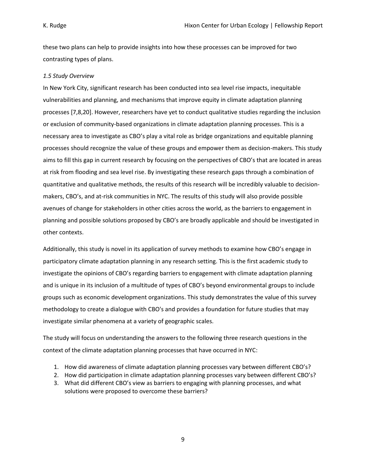these two plans can help to provide insights into how these processes can be improved for two contrasting types of plans.

#### *1.5 Study Overview*

In New York City, significant research has been conducted into sea level rise impacts, inequitable vulnerabilities and planning, and mechanisms that improve equity in climate adaptation planning processes [7,8,20]. However, researchers have yet to conduct qualitative studies regarding the inclusion or exclusion of community-based organizations in climate adaptation planning processes. This is a necessary area to investigate as CBO's play a vital role as bridge organizations and equitable planning processes should recognize the value of these groups and empower them as decision-makers. This study aims to fill this gap in current research by focusing on the perspectives of CBO's that are located in areas at risk from flooding and sea level rise. By investigating these research gaps through a combination of quantitative and qualitative methods, the results of this research will be incredibly valuable to decisionmakers, CBO's, and at-risk communities in NYC. The results of this study will also provide possible avenues of change for stakeholders in other cities across the world, as the barriers to engagement in planning and possible solutions proposed by CBO's are broadly applicable and should be investigated in other contexts.

Additionally, this study is novel in its application of survey methods to examine how CBO's engage in participatory climate adaptation planning in any research setting. This is the first academic study to investigate the opinions of CBO's regarding barriers to engagement with climate adaptation planning and is unique in its inclusion of a multitude of types of CBO's beyond environmental groups to include groups such as economic development organizations. This study demonstrates the value of this survey methodology to create a dialogue with CBO's and provides a foundation for future studies that may investigate similar phenomena at a variety of geographic scales.

The study will focus on understanding the answers to the following three research questions in the context of the climate adaptation planning processes that have occurred in NYC:

- 1. How did awareness of climate adaptation planning processes vary between different CBO's?
- 2. How did participation in climate adaptation planning processes vary between different CBO's?
- 3. What did different CBO's view as barriers to engaging with planning processes, and what solutions were proposed to overcome these barriers?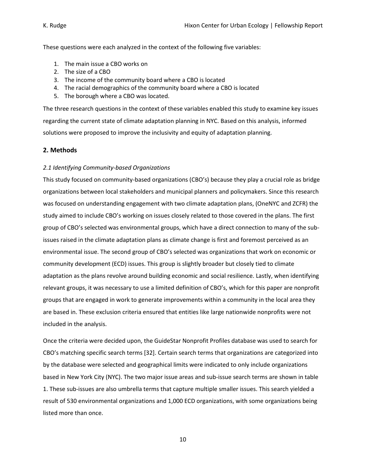These questions were each analyzed in the context of the following five variables:

- 1. The main issue a CBO works on
- 2. The size of a CBO
- 3. The income of the community board where a CBO is located
- 4. The racial demographics of the community board where a CBO is located
- 5. The borough where a CBO was located.

The three research questions in the context of these variables enabled this study to examine key issues regarding the current state of climate adaptation planning in NYC. Based on this analysis, informed solutions were proposed to improve the inclusivity and equity of adaptation planning.

#### **2. Methods**

#### *2.1 Identifying Community-based Organizations*

This study focused on community-based organizations (CBO's) because they play a crucial role as bridge organizations between local stakeholders and municipal planners and policymakers. Since this research was focused on understanding engagement with two climate adaptation plans, (OneNYC and ZCFR) the study aimed to include CBO's working on issues closely related to those covered in the plans. The first group of CBO's selected was environmental groups, which have a direct connection to many of the subissues raised in the climate adaptation plans as climate change is first and foremost perceived as an environmental issue. The second group of CBO's selected was organizations that work on economic or community development (ECD) issues. This group is slightly broader but closely tied to climate adaptation as the plans revolve around building economic and social resilience. Lastly, when identifying relevant groups, it was necessary to use a limited definition of CBO's, which for this paper are nonprofit groups that are engaged in work to generate improvements within a community in the local area they are based in. These exclusion criteria ensured that entities like large nationwide nonprofits were not included in the analysis.

Once the criteria were decided upon, the GuideStar Nonprofit Profiles database was used to search for CBO's matching specific search terms [32]. Certain search terms that organizations are categorized into by the database were selected and geographical limits were indicated to only include organizations based in New York City (NYC). The two major issue areas and sub-issue search terms are shown in table 1. These sub-issues are also umbrella terms that capture multiple smaller issues. This search yielded a result of 530 environmental organizations and 1,000 ECD organizations, with some organizations being listed more than once.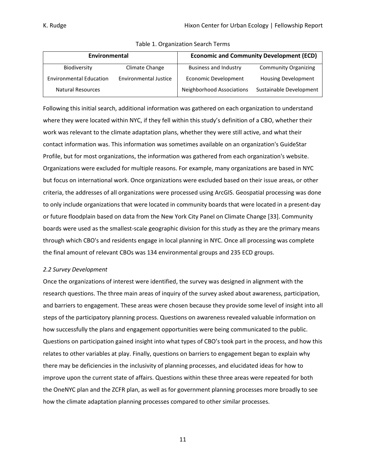| Environmental                  |                              | <b>Economic and Community Development (ECD)</b> |                             |
|--------------------------------|------------------------------|-------------------------------------------------|-----------------------------|
| Biodiversity                   | Climate Change               | <b>Business and Industry</b>                    | <b>Community Organizing</b> |
| <b>Environmental Education</b> | <b>Environmental Justice</b> | Economic Development                            | <b>Housing Development</b>  |
| <b>Natural Resources</b>       |                              | Neighborhood Associations                       | Sustainable Development     |

Table 1. Organization Search Terms

Following this initial search, additional information was gathered on each organization to understand where they were located within NYC, if they fell within this study's definition of a CBO, whether their work was relevant to the climate adaptation plans, whether they were still active, and what their contact information was. This information was sometimes available on an organization's GuideStar Profile, but for most organizations, the information was gathered from each organization's website. Organizations were excluded for multiple reasons. For example, many organizations are based in NYC but focus on international work. Once organizations were excluded based on their issue areas, or other criteria, the addresses of all organizations were processed using ArcGIS. Geospatial processing was done to only include organizations that were located in community boards that were located in a present-day or future floodplain based on data from the New York City Panel on Climate Change [33]. Community boards were used as the smallest-scale geographic division for this study as they are the primary means through which CBO's and residents engage in local planning in NYC. Once all processing was complete the final amount of relevant CBOs was 134 environmental groups and 235 ECD groups.

#### *2.2 Survey Development*

Once the organizations of interest were identified, the survey was designed in alignment with the research questions. The three main areas of inquiry of the survey asked about awareness, participation, and barriers to engagement. These areas were chosen because they provide some level of insight into all steps of the participatory planning process. Questions on awareness revealed valuable information on how successfully the plans and engagement opportunities were being communicated to the public. Questions on participation gained insight into what types of CBO's took part in the process, and how this relates to other variables at play. Finally, questions on barriers to engagement began to explain why there may be deficiencies in the inclusivity of planning processes, and elucidated ideas for how to improve upon the current state of affairs. Questions within these three areas were repeated for both the OneNYC plan and the ZCFR plan, as well as for government planning processes more broadly to see how the climate adaptation planning processes compared to other similar processes.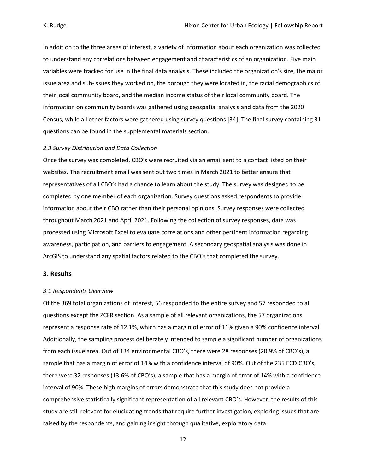In addition to the three areas of interest, a variety of information about each organization was collected to understand any correlations between engagement and characteristics of an organization. Five main variables were tracked for use in the final data analysis. These included the organization's size, the major issue area and sub-issues they worked on, the borough they were located in, the racial demographics of their local community board, and the median income status of their local community board. The information on community boards was gathered using geospatial analysis and data from the 2020 Census, while all other factors were gathered using survey questions [34]. The final survey containing 31 questions can be found in the supplemental materials section.

#### *2.3 Survey Distribution and Data Collection*

Once the survey was completed, CBO's were recruited via an email sent to a contact listed on their websites. The recruitment email was sent out two times in March 2021 to better ensure that representatives of all CBO's had a chance to learn about the study. The survey was designed to be completed by one member of each organization. Survey questions asked respondents to provide information about their CBO rather than their personal opinions. Survey responses were collected throughout March 2021 and April 2021. Following the collection of survey responses, data was processed using Microsoft Excel to evaluate correlations and other pertinent information regarding awareness, participation, and barriers to engagement. A secondary geospatial analysis was done in ArcGIS to understand any spatial factors related to the CBO's that completed the survey.

#### **3. Results**

#### *3.1 Respondents Overview*

Of the 369 total organizations of interest, 56 responded to the entire survey and 57 responded to all questions except the ZCFR section. As a sample of all relevant organizations, the 57 organizations represent a response rate of 12.1%, which has a margin of error of 11% given a 90% confidence interval. Additionally, the sampling process deliberately intended to sample a significant number of organizations from each issue area. Out of 134 environmental CBO's, there were 28 responses (20.9% of CBO's), a sample that has a margin of error of 14% with a confidence interval of 90%. Out of the 235 ECD CBO's, there were 32 responses (13.6% of CBO's), a sample that has a margin of error of 14% with a confidence interval of 90%. These high margins of errors demonstrate that this study does not provide a comprehensive statistically significant representation of all relevant CBO's. However, the results of this study are still relevant for elucidating trends that require further investigation, exploring issues that are raised by the respondents, and gaining insight through qualitative, exploratory data.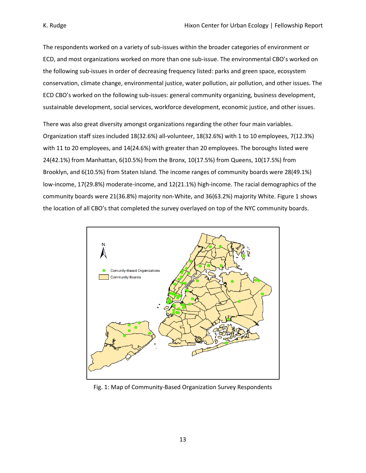The respondents worked on a variety of sub-issues within the broader categories of environment or ECD, and most organizations worked on more than one sub-issue. The environmental CBO's worked on the following sub-issues in order of decreasing frequency listed: parks and green space, ecosystem conservation, climate change, environmental justice, water pollution, air pollution, and other issues. The ECD CBO's worked on the following sub-issues: general community organizing, business development, sustainable development, social services, workforce development, economic justice, and other issues.

There was also great diversity amongst organizations regarding the other four main variables. Organization staff sizes included 18(32.6%) all-volunteer, 18(32.6%) with 1 to 10 employees, 7(12.3%) with 11 to 20 employees, and 14(24.6%) with greater than 20 employees. The boroughs listed were 24(42.1%) from Manhattan, 6(10.5%) from the Bronx, 10(17.5%) from Queens, 10(17.5%) from Brooklyn, and 6(10.5%) from Staten Island. The income ranges of community boards were 28(49.1%) low-income, 17(29.8%) moderate-income, and 12(21.1%) high-income. The racial demographics of the community boards were 21(36.8%) majority non-White, and 36(63.2%) majority White. Figure 1 shows the location of all CBO's that completed the survey overlayed on top of the NYC community boards.



Fig. 1: Map of Community-Based Organization Survey Respondents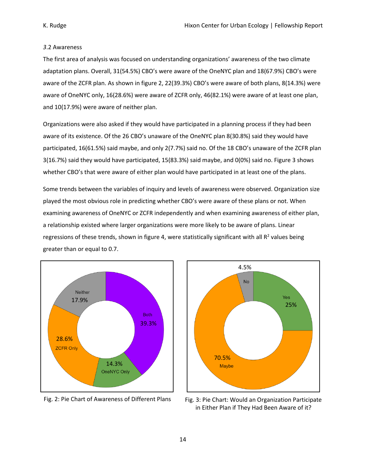#### *3*.2 Awareness

The first area of analysis was focused on understanding organizations' awareness of the two climate adaptation plans. Overall, 31(54.5%) CBO's were aware of the OneNYC plan and 18(67.9%) CBO's were aware of the ZCFR plan. As shown in figure 2, 22(39.3%) CBO's were aware of both plans, 8(14.3%) were aware of OneNYC only, 16(28.6%) were aware of ZCFR only, 46(82.1%) were aware of at least one plan, and 10(17.9%) were aware of neither plan.

Organizations were also asked if they would have participated in a planning process if they had been aware of its existence. Of the 26 CBO's unaware of the OneNYC plan 8(30.8%) said they would have participated, 16(61.5%) said maybe, and only 2(7.7%) said no. Of the 18 CBO's unaware of the ZCFR plan 3(16.7%) said they would have participated, 15(83.3%) said maybe, and 0(0%) said no. Figure 3 shows whether CBO's that were aware of either plan would have participated in at least one of the plans.

Some trends between the variables of inquiry and levels of awareness were observed. Organization size played the most obvious role in predicting whether CBO's were aware of these plans or not. When examining awareness of OneNYC or ZCFR independently and when examining awareness of either plan, a relationship existed where larger organizations were more likely to be aware of plans. Linear regressions of these trends, shown in figure 4, were statistically significant with all  $R^2$  values being greater than or equal to 0.7.



Fig. 2: Pie Chart of Awareness of Different Plans



Fig. 3: Pie Chart: Would an Organization Participate in Either Plan if They Had Been Aware of it?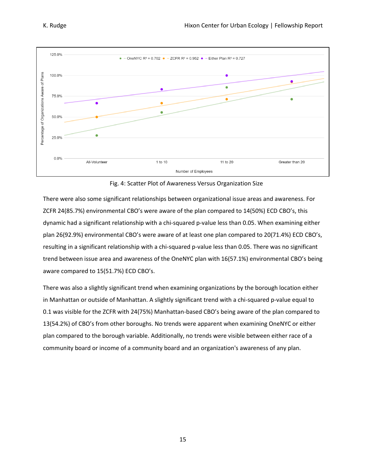

Fig. 4: Scatter Plot of Awareness Versus Organization Size

There were also some significant relationships between organizational issue areas and awareness. For ZCFR 24(85.7%) environmental CBO's were aware of the plan compared to 14(50%) ECD CBO's, this dynamic had a significant relationship with a chi-squared p-value less than 0.05. When examining either plan 26(92.9%) environmental CBO's were aware of at least one plan compared to 20(71.4%) ECD CBO's, resulting in a significant relationship with a chi-squared p-value less than 0.05. There was no significant trend between issue area and awareness of the OneNYC plan with 16(57.1%) environmental CBO's being aware compared to 15(51.7%) ECD CBO's.

There was also a slightly significant trend when examining organizations by the borough location either in Manhattan or outside of Manhattan. A slightly significant trend with a chi-squared p-value equal to 0.1 was visible for the ZCFR with 24(75%) Manhattan-based CBO's being aware of the plan compared to 13(54.2%) of CBO's from other boroughs. No trends were apparent when examining OneNYC or either plan compared to the borough variable. Additionally, no trends were visible between either race of a community board or income of a community board and an organization's awareness of any plan.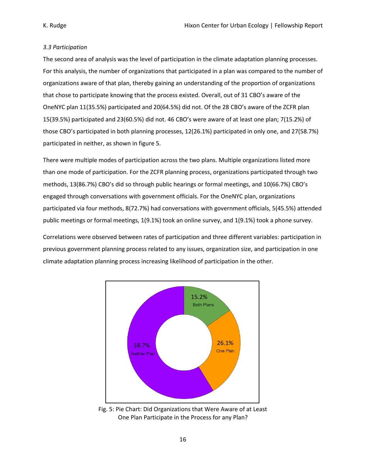#### *3.3 Participation*

The second area of analysis was the level of participation in the climate adaptation planning processes. For this analysis, the number of organizations that participated in a plan was compared to the number of organizations aware of that plan, thereby gaining an understanding of the proportion of organizations that chose to participate knowing that the process existed. Overall, out of 31 CBO's aware of the OneNYC plan 11(35.5%) participated and 20(64.5%) did not. Of the 28 CBO's aware of the ZCFR plan 15(39.5%) participated and 23(60.5%) did not. 46 CBO's were aware of at least one plan; 7(15.2%) of those CBO's participated in both planning processes, 12(26.1%) participated in only one, and 27(58.7%) participated in neither, as shown in figure 5.

There were multiple modes of participation across the two plans. Multiple organizations listed more than one mode of participation. For the ZCFR planning process, organizations participated through two methods, 13(86.7%) CBO's did so through public hearings or formal meetings, and 10(66.7%) CBO's engaged through conversations with government officials. For the OneNYC plan, organizations participated via four methods, 8(72.7%) had conversations with government officials, 5(45.5%) attended public meetings or formal meetings, 1(9.1%) took an online survey, and 1(9.1%) took a phone survey.

Correlations were observed between rates of participation and three different variables: participation in previous government planning process related to any issues, organization size, and participation in one climate adaptation planning process increasing likelihood of participation in the other.



Fig. 5: Pie Chart: Did Organizations that Were Aware of at Least One Plan Participate in the Process for any Plan?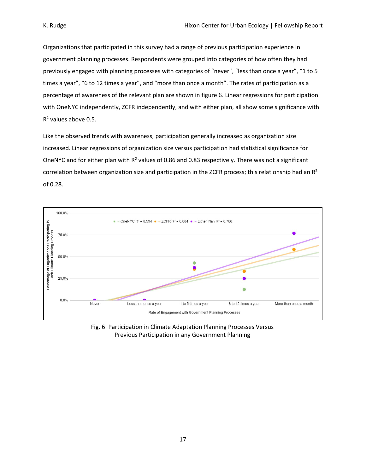Organizations that participated in this survey had a range of previous participation experience in government planning processes. Respondents were grouped into categories of how often they had previously engaged with planning processes with categories of "never", "less than once a year", "1 to 5 times a year", "6 to 12 times a year", and "more than once a month". The rates of participation as a percentage of awareness of the relevant plan are shown in figure 6. Linear regressions for participation with OneNYC independently, ZCFR independently, and with either plan, all show some significance with  $R<sup>2</sup>$  values above 0.5.

Like the observed trends with awareness, participation generally increased as organization size increased. Linear regressions of organization size versus participation had statistical significance for OneNYC and for either plan with  $R^2$  values of 0.86 and 0.83 respectively. There was not a significant correlation between organization size and participation in the ZCFR process; this relationship had an  $R^2$ of 0.28.



Fig. 6: Participation in Climate Adaptation Planning Processes Versus Previous Participation in any Government Planning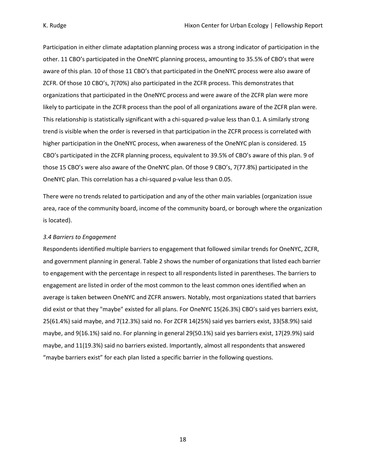Participation in either climate adaptation planning process was a strong indicator of participation in the other. 11 CBO's participated in the OneNYC planning process, amounting to 35.5% of CBO's that were aware of this plan. 10 of those 11 CBO's that participated in the OneNYC process were also aware of ZCFR. Of those 10 CBO's, 7(70%) also participated in the ZCFR process. This demonstrates that organizations that participated in the OneNYC process and were aware of the ZCFR plan were more likely to participate in the ZCFR process than the pool of all organizations aware of the ZCFR plan were. This relationship is statistically significant with a chi-squared p-value less than 0.1. A similarly strong trend is visible when the order is reversed in that participation in the ZCFR process is correlated with higher participation in the OneNYC process, when awareness of the OneNYC plan is considered. 15 CBO's participated in the ZCFR planning process, equivalent to 39.5% of CBO's aware of this plan. 9 of those 15 CBO's were also aware of the OneNYC plan. Of those 9 CBO's, 7(77.8%) participated in the OneNYC plan. This correlation has a chi-squared p-value less than 0.05.

There were no trends related to participation and any of the other main variables (organization issue area, race of the community board, income of the community board, or borough where the organization is located).

#### *3.4 Barriers to Engagement*

Respondents identified multiple barriers to engagement that followed similar trends for OneNYC, ZCFR, and government planning in general. Table 2 shows the number of organizations that listed each barrier to engagement with the percentage in respect to all respondents listed in parentheses. The barriers to engagement are listed in order of the most common to the least common ones identified when an average is taken between OneNYC and ZCFR answers. Notably, most organizations stated that barriers did exist or that they "maybe" existed for all plans. For OneNYC 15(26.3%) CBO's said yes barriers exist, 25(61.4%) said maybe, and 7(12.3%) said no. For ZCFR 14(25%) said yes barriers exist, 33(58.9%) said maybe, and 9(16.1%) said no. For planning in general 29(50.1%) said yes barriers exist, 17(29.9%) said maybe, and 11(19.3%) said no barriers existed. Importantly, almost all respondents that answered "maybe barriers exist" for each plan listed a specific barrier in the following questions.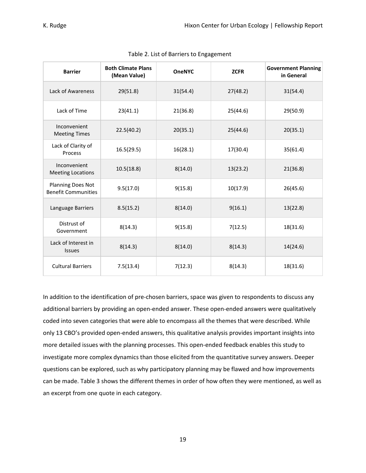| <b>Barrier</b>                                         | <b>Both Climate Plans</b><br>(Mean Value) | <b>OneNYC</b> | <b>ZCFR</b> | <b>Government Planning</b><br>in General |
|--------------------------------------------------------|-------------------------------------------|---------------|-------------|------------------------------------------|
| Lack of Awareness                                      | 29(51.8)                                  | 31(54.4)      | 27(48.2)    | 31(54.4)                                 |
| Lack of Time                                           | 23(41.1)                                  | 21(36.8)      | 25(44.6)    | 29(50.9)                                 |
| Inconvenient<br><b>Meeting Times</b>                   | 22.5(40.2)                                | 20(35.1)      | 25(44.6)    | 20(35.1)                                 |
| Lack of Clarity of<br>Process                          | 16.5(29.5)                                | 16(28.1)      | 17(30.4)    | 35(61.4)                                 |
| Inconvenient<br><b>Meeting Locations</b>               | 10.5(18.8)                                | 8(14.0)       | 13(23.2)    | 21(36.8)                                 |
| <b>Planning Does Not</b><br><b>Benefit Communities</b> | 9.5(17.0)                                 | 9(15.8)       | 10(17.9)    | 26(45.6)                                 |
| Language Barriers                                      | 8.5(15.2)                                 | 8(14.0)       | 9(16.1)     | 13(22.8)                                 |
| Distrust of<br>Government                              | 8(14.3)                                   | 9(15.8)       | 7(12.5)     | 18(31.6)                                 |
| Lack of Interest in<br><b>Issues</b>                   | 8(14.3)                                   | 8(14.0)       | 8(14.3)     | 14(24.6)                                 |
| <b>Cultural Barriers</b>                               | 7.5(13.4)                                 | 7(12.3)       | 8(14.3)     | 18(31.6)                                 |

### Table 2. List of Barriers to Engagement

In addition to the identification of pre-chosen barriers, space was given to respondents to discuss any additional barriers by providing an open-ended answer. These open-ended answers were qualitatively coded into seven categories that were able to encompass all the themes that were described. While only 13 CBO's provided open-ended answers, this qualitative analysis provides important insights into more detailed issues with the planning processes. This open-ended feedback enables this study to investigate more complex dynamics than those elicited from the quantitative survey answers. Deeper questions can be explored, such as why participatory planning may be flawed and how improvements can be made. Table 3 shows the different themes in order of how often they were mentioned, as well as an excerpt from one quote in each category.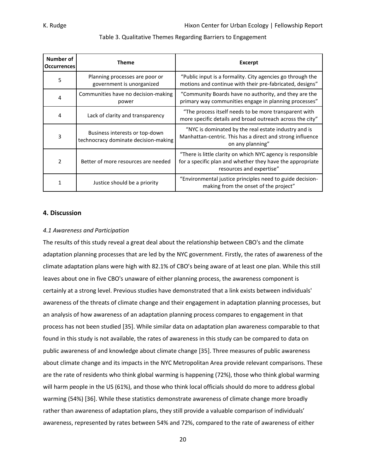| Number of<br><b>Occurrences</b> | Theme                                                                  | <b>Excerpt</b>                                                                                                                                       |
|---------------------------------|------------------------------------------------------------------------|------------------------------------------------------------------------------------------------------------------------------------------------------|
| 5                               | Planning processes are poor or<br>government is unorganized            | "Public input is a formality. City agencies go through the<br>motions and continue with their pre-fabricated, designs"                               |
| 4                               | Communities have no decision-making<br>power                           | "Community Boards have no authority, and they are the<br>primary way communities engage in planning processes"                                       |
| 4                               | Lack of clarity and transparency                                       | "The process itself needs to be more transparent with<br>more specific details and broad outreach across the city"                                   |
| 3                               | Business interests or top-down<br>technocracy dominate decision-making | "NYC is dominated by the real estate industry and is<br>Manhattan-centric. This has a direct and strong influence<br>on any planning"                |
| 2                               | Better of more resources are needed                                    | "There is little clarity on which NYC agency is responsible<br>for a specific plan and whether they have the appropriate<br>resources and expertise" |
| 1                               | Justice should be a priority                                           | "Environmental justice principles need to guide decision-<br>making from the onset of the project"                                                   |

#### Table 3. Qualitative Themes Regarding Barriers to Engagement

#### **4. Discussion**

#### *4.1 Awareness and Participation*

The results of this study reveal a great deal about the relationship between CBO's and the climate adaptation planning processes that are led by the NYC government. Firstly, the rates of awareness of the climate adaptation plans were high with 82.1% of CBO's being aware of at least one plan. While this still leaves about one in five CBO's unaware of either planning process, the awareness component is certainly at a strong level. Previous studies have demonstrated that a link exists between individuals' awareness of the threats of climate change and their engagement in adaptation planning processes, but an analysis of how awareness of an adaptation planning process compares to engagement in that process has not been studied [35]. While similar data on adaptation plan awareness comparable to that found in this study is not available, the rates of awareness in this study can be compared to data on public awareness of and knowledge about climate change [35]. Three measures of public awareness about climate change and its impacts in the NYC Metropolitan Area provide relevant comparisons. These are the rate of residents who think global warming is happening (72%), those who think global warming will harm people in the US (61%), and those who think local officials should do more to address global warming (54%) [36]. While these statistics demonstrate awareness of climate change more broadly rather than awareness of adaptation plans, they still provide a valuable comparison of individuals' awareness, represented by rates between 54% and 72%, compared to the rate of awareness of either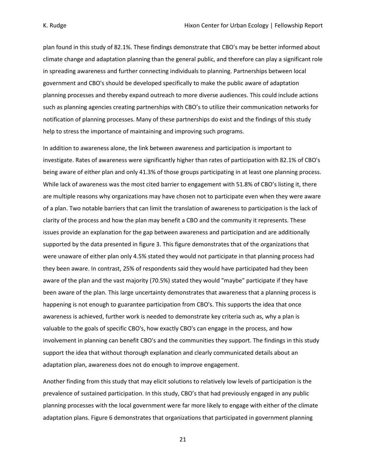plan found in this study of 82.1%. These findings demonstrate that CBO's may be better informed about climate change and adaptation planning than the general public, and therefore can play a significant role in spreading awareness and further connecting individuals to planning. Partnerships between local government and CBO's should be developed specifically to make the public aware of adaptation planning processes and thereby expand outreach to more diverse audiences. This could include actions such as planning agencies creating partnerships with CBO's to utilize their communication networks for notification of planning processes. Many of these partnerships do exist and the findings of this study help to stress the importance of maintaining and improving such programs.

In addition to awareness alone, the link between awareness and participation is important to investigate. Rates of awareness were significantly higher than rates of participation with 82.1% of CBO's being aware of either plan and only 41.3% of those groups participating in at least one planning process. While lack of awareness was the most cited barrier to engagement with 51.8% of CBO's listing it, there are multiple reasons why organizations may have chosen not to participate even when they were aware of a plan. Two notable barriers that can limit the translation of awareness to participation is the lack of clarity of the process and how the plan may benefit a CBO and the community it represents. These issues provide an explanation for the gap between awareness and participation and are additionally supported by the data presented in figure 3. This figure demonstrates that of the organizations that were unaware of either plan only 4.5% stated they would not participate in that planning process had they been aware. In contrast, 25% of respondents said they would have participated had they been aware of the plan and the vast majority (70.5%) stated they would "maybe" participate if they have been aware of the plan. This large uncertainty demonstrates that awareness that a planning process is happening is not enough to guarantee participation from CBO's. This supports the idea that once awareness is achieved, further work is needed to demonstrate key criteria such as, why a plan is valuable to the goals of specific CBO's, how exactly CBO's can engage in the process, and how involvement in planning can benefit CBO's and the communities they support. The findings in this study support the idea that without thorough explanation and clearly communicated details about an adaptation plan, awareness does not do enough to improve engagement.

Another finding from this study that may elicit solutions to relatively low levels of participation is the prevalence of sustained participation. In this study, CBO's that had previously engaged in any public planning processes with the local government were far more likely to engage with either of the climate adaptation plans. Figure 6 demonstrates that organizations that participated in government planning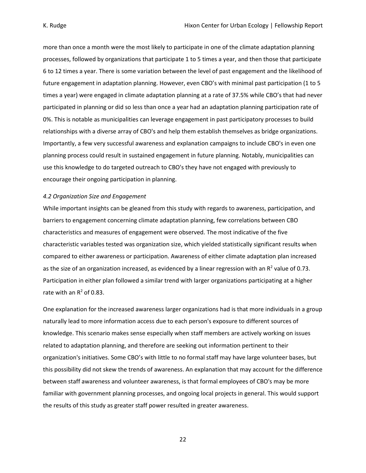more than once a month were the most likely to participate in one of the climate adaptation planning processes, followed by organizations that participate 1 to 5 times a year, and then those that participate 6 to 12 times a year. There is some variation between the level of past engagement and the likelihood of future engagement in adaptation planning. However, even CBO's with minimal past participation (1 to 5 times a year) were engaged in climate adaptation planning at a rate of 37.5% while CBO's that had never participated in planning or did so less than once a year had an adaptation planning participation rate of 0%. This is notable as municipalities can leverage engagement in past participatory processes to build relationships with a diverse array of CBO's and help them establish themselves as bridge organizations. Importantly, a few very successful awareness and explanation campaigns to include CBO's in even one planning process could result in sustained engagement in future planning. Notably, municipalities can use this knowledge to do targeted outreach to CBO's they have not engaged with previously to encourage their ongoing participation in planning.

#### *4.2 Organization Size and Engagement*

While important insights can be gleaned from this study with regards to awareness, participation, and barriers to engagement concerning climate adaptation planning, few correlations between CBO characteristics and measures of engagement were observed. The most indicative of the five characteristic variables tested was organization size, which yielded statistically significant results when compared to either awareness or participation. Awareness of either climate adaptation plan increased as the size of an organization increased, as evidenced by a linear regression with an  $R^2$  value of 0.73. Participation in either plan followed a similar trend with larger organizations participating at a higher rate with an  $R^2$  of 0.83.

One explanation for the increased awareness larger organizations had is that more individuals in a group naturally lead to more information access due to each person's exposure to different sources of knowledge. This scenario makes sense especially when staff members are actively working on issues related to adaptation planning, and therefore are seeking out information pertinent to their organization's initiatives. Some CBO's with little to no formal staff may have large volunteer bases, but this possibility did not skew the trends of awareness. An explanation that may account for the difference between staff awareness and volunteer awareness, is that formal employees of CBO's may be more familiar with government planning processes, and ongoing local projects in general. This would support the results of this study as greater staff power resulted in greater awareness.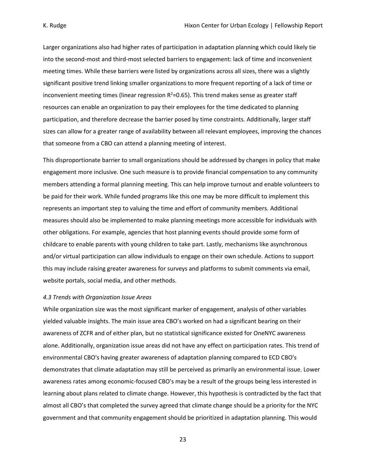Larger organizations also had higher rates of participation in adaptation planning which could likely tie into the second-most and third-most selected barriers to engagement: lack of time and inconvenient meeting times. While these barriers were listed by organizations across all sizes, there was a slightly significant positive trend linking smaller organizations to more frequent reporting of a lack of time or inconvenient meeting times (linear regression  $R^2$ =0.65). This trend makes sense as greater staff resources can enable an organization to pay their employees for the time dedicated to planning participation, and therefore decrease the barrier posed by time constraints. Additionally, larger staff sizes can allow for a greater range of availability between all relevant employees, improving the chances that someone from a CBO can attend a planning meeting of interest.

This disproportionate barrier to small organizations should be addressed by changes in policy that make engagement more inclusive. One such measure is to provide financial compensation to any community members attending a formal planning meeting. This can help improve turnout and enable volunteers to be paid for their work. While funded programs like this one may be more difficult to implement this represents an important step to valuing the time and effort of community members. Additional measures should also be implemented to make planning meetings more accessible for individuals with other obligations. For example, agencies that host planning events should provide some form of childcare to enable parents with young children to take part. Lastly, mechanisms like asynchronous and/or virtual participation can allow individuals to engage on their own schedule. Actions to support this may include raising greater awareness for surveys and platforms to submit comments via email, website portals, social media, and other methods.

#### *4.3 Trends with Organization Issue Areas*

While organization size was the most significant marker of engagement, analysis of other variables yielded valuable insights. The main issue area CBO's worked on had a significant bearing on their awareness of ZCFR and of either plan, but no statistical significance existed for OneNYC awareness alone. Additionally, organization issue areas did not have any effect on participation rates. This trend of environmental CBO's having greater awareness of adaptation planning compared to ECD CBO's demonstrates that climate adaptation may still be perceived as primarily an environmental issue. Lower awareness rates among economic-focused CBO's may be a result of the groups being less interested in learning about plans related to climate change. However, this hypothesis is contradicted by the fact that almost all CBO's that completed the survey agreed that climate change should be a priority for the NYC government and that community engagement should be prioritized in adaptation planning. This would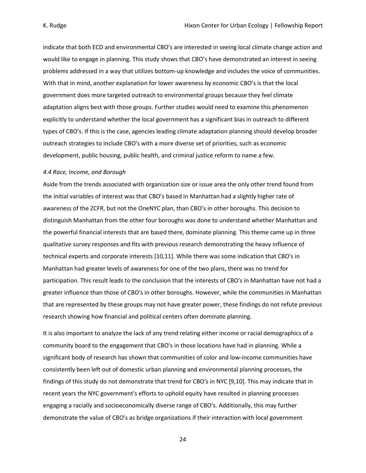indicate that both ECD and environmental CBO's are interested in seeing local climate change action and would like to engage in planning. This study shows that CBO's have demonstrated an interest in seeing problems addressed in a way that utilizes bottom-up knowledge and includes the voice of communities. With that in mind, another explanation for lower awareness by economic CBO's is that the local government does more targeted outreach to environmental groups because they feel climate adaptation aligns best with those groups. Further studies would need to examine this phenomenon explicitly to understand whether the local government has a significant bias in outreach to different types of CBO's. If this is the case, agencies leading climate adaptation planning should develop broader outreach strategies to include CBO's with a more diverse set of priorities, such as economic development, public housing, public health, and criminal justice reform to name a few.

#### *4.4 Race, Income, and Borough*

Aside from the trends associated with organization size or issue area the only other trend found from the initial variables of interest was that CBO's based in Manhattan had a slightly higher rate of awareness of the ZCFR, but not the OneNYC plan, than CBO's in other boroughs. This decision to distinguish Manhattan from the other four boroughs was done to understand whether Manhattan and the powerful financial interests that are based there, dominate planning. This theme came up in three qualitative survey responses and fits with previous research demonstrating the heavy influence of technical experts and corporate interests [10,11]. While there was some indication that CBO's in Manhattan had greater levels of awareness for one of the two plans, there was no trend for participation. This result leads to the conclusion that the interests of CBO's in Manhattan have not had a greater influence than those of CBO's in other boroughs. However, while the communities in Manhattan that are represented by these groups may not have greater power, these findings do not refute previous research showing how financial and political centers often dominate planning.

It is also important to analyze the lack of any trend relating either income or racial demographics of a community board to the engagement that CBO's in those locations have had in planning. While a significant body of research has shown that communities of color and low-income communities have consistently been left out of domestic urban planning and environmental planning processes, the findings of this study do not demonstrate that trend for CBO's in NYC [9,10]. This may indicate that in recent years the NYC government's efforts to uphold equity have resulted in planning processes engaging a racially and socioeconomically diverse range of CBO's. Additionally, this may further demonstrate the value of CBO's as bridge organizations if their interaction with local government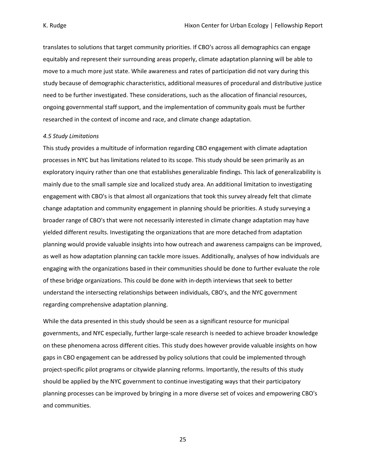translates to solutions that target community priorities. If CBO's across all demographics can engage equitably and represent their surrounding areas properly, climate adaptation planning will be able to move to a much more just state. While awareness and rates of participation did not vary during this study because of demographic characteristics, additional measures of procedural and distributive justice need to be further investigated. These considerations, such as the allocation of financial resources, ongoing governmental staff support, and the implementation of community goals must be further researched in the context of income and race, and climate change adaptation.

#### *4.5 Study Limitations*

This study provides a multitude of information regarding CBO engagement with climate adaptation processes in NYC but has limitations related to its scope. This study should be seen primarily as an exploratory inquiry rather than one that establishes generalizable findings. This lack of generalizability is mainly due to the small sample size and localized study area. An additional limitation to investigating engagement with CBO's is that almost all organizations that took this survey already felt that climate change adaptation and community engagement in planning should be priorities. A study surveying a broader range of CBO's that were not necessarily interested in climate change adaptation may have yielded different results. Investigating the organizations that are more detached from adaptation planning would provide valuable insights into how outreach and awareness campaigns can be improved, as well as how adaptation planning can tackle more issues. Additionally, analyses of how individuals are engaging with the organizations based in their communities should be done to further evaluate the role of these bridge organizations. This could be done with in-depth interviews that seek to better understand the intersecting relationships between individuals, CBO's, and the NYC government regarding comprehensive adaptation planning.

While the data presented in this study should be seen as a significant resource for municipal governments, and NYC especially, further large-scale research is needed to achieve broader knowledge on these phenomena across different cities. This study does however provide valuable insights on how gaps in CBO engagement can be addressed by policy solutions that could be implemented through project-specific pilot programs or citywide planning reforms. Importantly, the results of this study should be applied by the NYC government to continue investigating ways that their participatory planning processes can be improved by bringing in a more diverse set of voices and empowering CBO's and communities.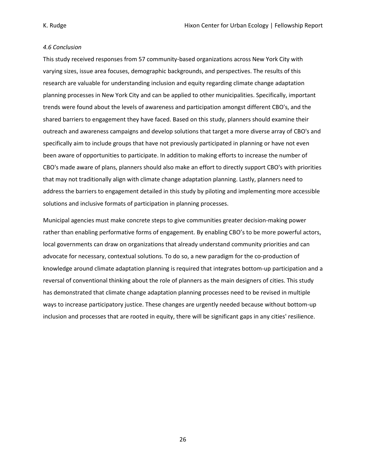#### *4.6 Conclusion*

This study received responses from 57 community-based organizations across New York City with varying sizes, issue area focuses, demographic backgrounds, and perspectives. The results of this research are valuable for understanding inclusion and equity regarding climate change adaptation planning processes in New York City and can be applied to other municipalities. Specifically, important trends were found about the levels of awareness and participation amongst different CBO's, and the shared barriers to engagement they have faced. Based on this study, planners should examine their outreach and awareness campaigns and develop solutions that target a more diverse array of CBO's and specifically aim to include groups that have not previously participated in planning or have not even been aware of opportunities to participate. In addition to making efforts to increase the number of CBO's made aware of plans, planners should also make an effort to directly support CBO's with priorities that may not traditionally align with climate change adaptation planning. Lastly, planners need to address the barriers to engagement detailed in this study by piloting and implementing more accessible solutions and inclusive formats of participation in planning processes.

Municipal agencies must make concrete steps to give communities greater decision-making power rather than enabling performative forms of engagement. By enabling CBO's to be more powerful actors, local governments can draw on organizations that already understand community priorities and can advocate for necessary, contextual solutions. To do so, a new paradigm for the co-production of knowledge around climate adaptation planning is required that integrates bottom-up participation and a reversal of conventional thinking about the role of planners as the main designers of cities. This study has demonstrated that climate change adaptation planning processes need to be revised in multiple ways to increase participatory justice. These changes are urgently needed because without bottom-up inclusion and processes that are rooted in equity, there will be significant gaps in any cities' resilience.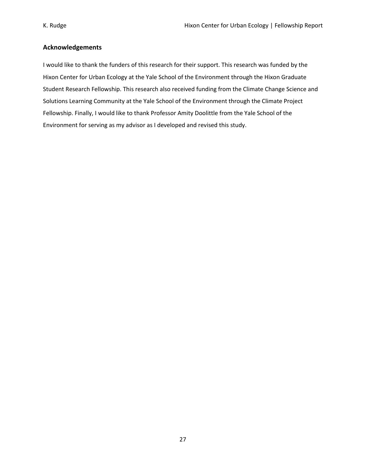## **Acknowledgements**

I would like to thank the funders of this research for their support. This research was funded by the Hixon Center for Urban Ecology at the Yale School of the Environment through the Hixon Graduate Student Research Fellowship. This research also received funding from the Climate Change Science and Solutions Learning Community at the Yale School of the Environment through the Climate Project Fellowship. Finally, I would like to thank Professor Amity Doolittle from the Yale School of the Environment for serving as my advisor as I developed and revised this study.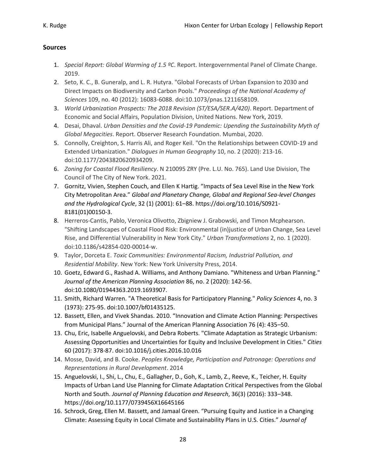# **Sources**

- 1. *Special Report: Global Warming of 1.5 ºC*. Report. Intergovernmental Panel of Climate Change. 2019.
- 2. Seto, K. C., B. Guneralp, and L. R. Hutyra. "Global Forecasts of Urban Expansion to 2030 and Direct Impacts on Biodiversity and Carbon Pools." *Proceedings of the National Academy of Sciences* 109, no. 40 (2012): 16083-6088. doi:10.1073/pnas.1211658109.
- 3. *World Urbanization Prospects: The 2018 Revision (ST/ESA/SER.A/420)*. Report. Department of Economic and Social Affairs, Population Division, United Nations. New York, 2019.
- 4. Desai, Dhaval. *Urban Densities and the Covid-19 Pandemic: Upending the Sustainability Myth of Global Megacities*. Report. Observer Research Foundation. Mumbai, 2020.
- 5. Connolly, Creighton, S. Harris Ali, and Roger Keil. "On the Relationships between COVID-19 and Extended Urbanization." *Dialogues in Human Geography* 10, no. 2 (2020): 213-16. doi:10.1177/2043820620934209.
- 6. *Zoning for Coastal Flood Resiliency*. N 210095 ZRY (Pre. L.U. No. 765). Land Use Division, The Council of The City of New York. 2021.
- 7. Gornitz, Vivien, Stephen Couch, and Ellen K Hartig. "Impacts of Sea Level Rise in the New York City Metropolitan Area." *Global and Planetary Change, Global and Regional Sea-level Changes and the Hydrological Cycle*, 32 (1) (2001): 61–88. https://doi.org/10.1016/S0921- 8181(01)00150-3.
- 8. Herreros-Cantis, Pablo, Veronica Olivotto, Zbigniew J. Grabowski, and Timon Mcphearson. "Shifting Landscapes of Coastal Flood Risk: Environmental (in)justice of Urban Change, Sea Level Rise, and Differential Vulnerability in New York City." *Urban Transformations* 2, no. 1 (2020). doi:10.1186/s42854-020-00014-w.
- 9. Taylor, Dorceta E. *Toxic Communities: Environmental Racism, Industrial Pollution, and Residential Mobility*. New York: New York University Press, 2014.
- 10. Goetz, Edward G., Rashad A. Williams, and Anthony Damiano. "Whiteness and Urban Planning." *Journal of the American Planning Association* 86, no. 2 (2020): 142-56. doi:10.1080/01944363.2019.1693907.
- 11. Smith, Richard Warren. "A Theoretical Basis for Participatory Planning." *Policy Sciences* 4, no. 3 (1973): 275-95. doi:10.1007/bf01435125.
- 12. Bassett, Ellen, and Vivek Shandas. 2010. "Innovation and Climate Action Planning: Perspectives from Municipal Plans." Journal of the American Planning Association 76 (4): 435–50.
- 13. Chu, Eric, Isabelle Anguelovski, and Debra Roberts. "Climate Adaptation as Strategic Urbanism: Assessing Opportunities and Uncertainties for Equity and Inclusive Development in Cities." *Cities* 60 (2017): 378-87. doi:10.1016/j.cities.2016.10.016
- 14. Mosse, David, and B. Cooke. *Peoples Knowledge, Participation and Patronage: Operations and Representations in Rural Development*. 2014
- 15. Anguelovski, I., Shi, L., Chu, E., Gallagher, D., Goh, K., Lamb, Z., Reeve, K., Teicher, H. Equity Impacts of Urban Land Use Planning for Climate Adaptation Critical Perspectives from the Global North and South. *Journal of Planning Education and Research*, 36(3) (2016): 333–348. https://doi.org/10.1177/0739456X16645166
- 16. Schrock, Greg, Ellen M. Bassett, and Jamaal Green. "Pursuing Equity and Justice in a Changing Climate: Assessing Equity in Local Climate and Sustainability Plans in U.S. Cities." *Journal of*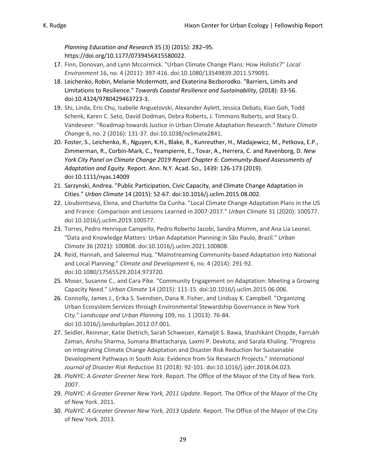*Planning Education and Research* 35 (3) (2015): 282–95. https://doi.org/10.1177/0739456X15580022.

- 17. Finn, Donovan, and Lynn Mccormick. "Urban Climate Change Plans: How Holistic?" *Local Environment* 16, no. 4 (2011): 397-416. doi:10.1080/13549839.2011.579091.
- 18. Leichenko, Robin, Melanie Mcdermott, and Ekaterina Bezborodko. "Barriers, Limits and Limitations to Resilience." *Towards Coastal Resilience and Sustainability*, (2018): 33-56. doi:10.4324/9780429463723-3.
- 19. Shi, Linda, Eric Chu, Isabelle Anguelovski, Alexander Aylett, Jessica Debats, Kian Goh, Todd Schenk, Karen C. Seto, David Dodman, Debra Roberts, J. Timmons Roberts, and Stacy D. Vandeveer. "Roadmap towards Justice in Urban Climate Adaptation Research." *Nature Climate Change* 6, no. 2 (2016): 131-37. doi:10.1038/nclimate2841.
- 20. Foster, S., Leichenko, R., Nguyen, K.H., Blake, R., Kunreuther, H., Madajewicz, M., Petkova, E.P., Zimmerman, R., Corbin‐Mark, C., Yeampierre, E., Tovar, A., Herrera, C. and Ravenborg, D. *New York City Panel on Climate Change 2019 Report Chapter 6: Community‐Based Assessments of Adaptation and Equity.* Report. Ann. N.Y. Acad. Sci., 1439: 126-173 (2019). doi:10.1111/nyas.14009
- 21. Sarzynski, Andrea. "Public Participation, Civic Capacity, and Climate Change Adaptation in Cities." *Urban Climate* 14 (2015): 52-67. doi:10.1016/j.uclim.2015.08.002.
- 22. Lioubimtseva, Elena, and Charlotte Da Cunha. "Local Climate Change Adaptation Plans in the US and France: Comparison and Lessons Learned in 2007-2017." *Urban Climate* 31 (2020): 100577. doi:10.1016/j.uclim.2019.100577.
- 23. Torres, Pedro Henrique Campello, Pedro Roberto Jacobi, Sandra Momm, and Ana Lia Leonel. "Data and Knowledge Matters: Urban Adaptation Planning in São Paulo, Brazil." *Urban Climate* 36 (2021): 100808. doi:10.1016/j.uclim.2021.100808.
- 24. Reid, Hannah, and Saleemul Huq. "Mainstreaming Community-based Adaptation into National and Local Planning." *Climate and Development* 6, no. 4 (2014): 291-92. doi:10.1080/17565529.2014.973720.
- 25. Moser, Susanne C., and Cara Pike. "Community Engagement on Adaptation: Meeting a Growing Capacity Need." *Urban Climate* 14 (2015): 111-15. doi:10.1016/j.uclim.2015.06.006.
- 26. Connolly, James J., Erika S. Svendsen, Dana R. Fisher, and Lindsay K. Campbell. "Organizing Urban Ecosystem Services through Environmental Stewardship Governance in New York City." *Landscape and Urban Planning* 109, no. 1 (2013): 76-84. doi:10.1016/j.landurbplan.2012.07.001.
- 27. Seidler, Reinmar, Katie Dietrich, Sarah Schweizer, Kamaljit S. Bawa, Shashikant Chopde, Farrukh Zaman, Anshu Sharma, Sumana Bhattacharya, Laxmi P. Devkota, and Sarala Khaling. "Progress on Integrating Climate Change Adaptation and Disaster Risk Reduction for Sustainable Development Pathways in South Asia: Evidence from Six Research Projects." *International Journal of Disaster Risk Reduction* 31 (2018): 92-101. doi:10.1016/j.ijdrr.2018.04.023.
- 28. *PlaNYC: A Greater Greener New York*. Report. The Office of the Mayor of the City of New York. 2007.
- 29. *PlaNYC: A Greater Greener New York, 2011 Update*. Report. The Office of the Mayor of the City of New York. 2011.
- 30. *PlaNYC: A Greater Greener New York, 2013 Update*. Report. The Office of the Mayor of the City of New York. 2013.